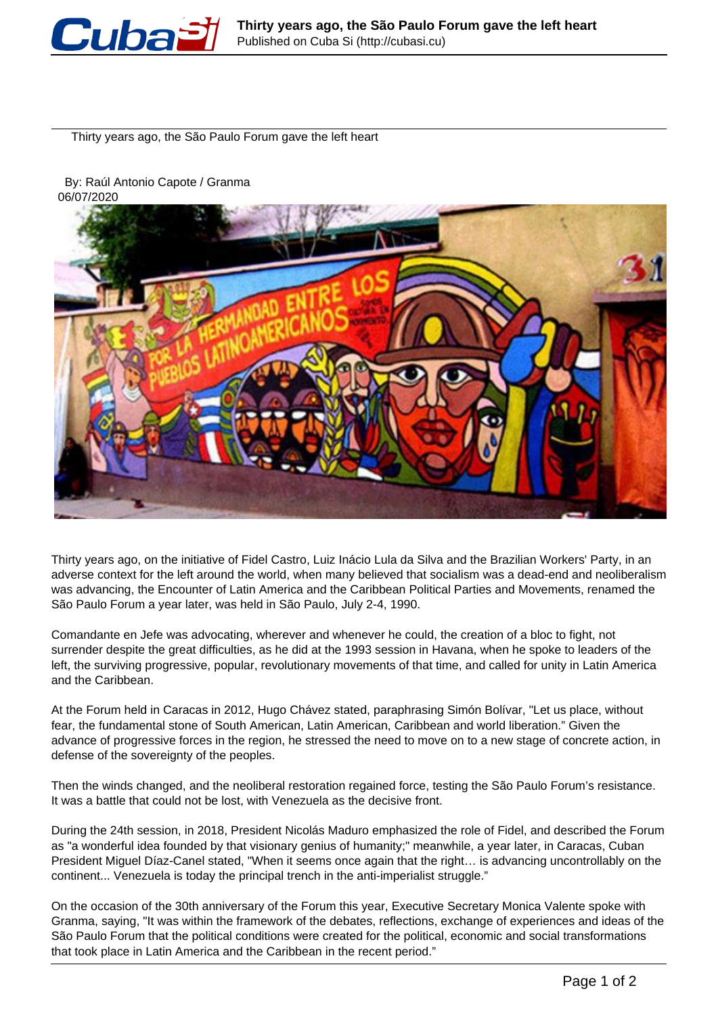

Thirty years ago, the São Paulo Forum gave the left heart

 By: Raúl Antonio Capote / Granma 06/07/2020



Thirty years ago, on the initiative of Fidel Castro, Luiz Inácio Lula da Silva and the Brazilian Workers' Party, in an adverse context for the left around the world, when many believed that socialism was a dead-end and neoliberalism was advancing, the Encounter of Latin America and the Caribbean Political Parties and Movements, renamed the São Paulo Forum a year later, was held in São Paulo, July 2-4, 1990.

Comandante en Jefe was advocating, wherever and whenever he could, the creation of a bloc to fight, not surrender despite the great difficulties, as he did at the 1993 session in Havana, when he spoke to leaders of the left, the surviving progressive, popular, revolutionary movements of that time, and called for unity in Latin America and the Caribbean.

At the Forum held in Caracas in 2012, Hugo Chávez stated, paraphrasing Simón Bolívar, "Let us place, without fear, the fundamental stone of South American, Latin American, Caribbean and world liberation." Given the advance of progressive forces in the region, he stressed the need to move on to a new stage of concrete action, in defense of the sovereignty of the peoples.

Then the winds changed, and the neoliberal restoration regained force, testing the São Paulo Forum's resistance. It was a battle that could not be lost, with Venezuela as the decisive front.

During the 24th session, in 2018, President Nicolás Maduro emphasized the role of Fidel, and described the Forum as "a wonderful idea founded by that visionary genius of humanity;" meanwhile, a year later, in Caracas, Cuban President Miguel Díaz-Canel stated, "When it seems once again that the right… is advancing uncontrollably on the continent... Venezuela is today the principal trench in the anti-imperialist struggle."

On the occasion of the 30th anniversary of the Forum this year, Executive Secretary Monica Valente spoke with Granma, saying, "It was within the framework of the debates, reflections, exchange of experiences and ideas of the São Paulo Forum that the political conditions were created for the political, economic and social transformations that took place in Latin America and the Caribbean in the recent period."